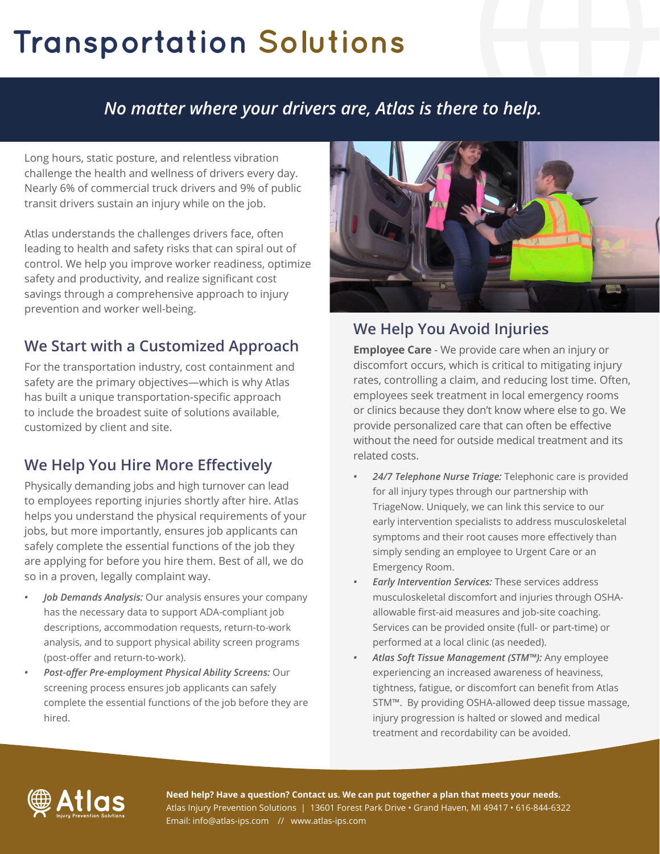# **Transportation Solutions**

## *No matter where your drivers are, Atlas is there to help.*

Long hours, static posture, and relentless vibration challenge the health and wellness of drivers every day. Nearly 6% of commercial truck drivers and 9% of public transit drivers sustain an injury while on the job.

Atlas understands the challenges drivers face, often leading to health and safety risks that can spiral out of control. We help you improve worker readiness, optimize safety and productivity, and realize significant cost savings through a comprehensive approach to injury prevention and worker well-being.

### **We Start with a Customized Approach**

For the transportation industry, cost containment and safety are the primary objectives—which is why Atlas has built a unique transportation-specific approach to include the broadest suite of solutions available, customized by client and site.

### **We Help You Hire More Effectively**

Physically demanding jobs and high turnover can lead to employees reporting injuries shortly after hire. Atlas helps you understand the physical requirements of your jobs, but more importantly, ensures job applicants can safely complete the essential functions of the job they are applying for before you hire them. Best of all, we do so in a proven, legally complaint way.

- *• Job Demands Analysis:* Our analysis ensures your company has the necessary data to support ADA-compliant job descriptions, accommodation requests, return-to-work analysis, and to support physical ability screen programs (post-offer and return-to-work).
- *• Post-offer Pre-employment Physical Ability Screens:* Our screening process ensures job applicants can safely complete the essential functions of the job before they are hired.



### **We Help You Avoid Injuries**

**Employee Care** - We provide care when an injury or discomfort occurs, which is critical to mitigating injury rates, controlling a claim, and reducing lost time. Often, employees seek treatment in local emergency rooms or clinics because they don't know where else to go. We provide personalized care that can often be effective without the need for outside medical treatment and its related costs.

- *• 24/7 Telephone Nurse Triage:* Telephonic care is provided for all injury types through our partnership with TriageNow. Uniquely, we can link this service to our early intervention specialists to address musculoskeletal symptoms and their root causes more effectively than simply sending an employee to Urgent Care or an Emergency Room.
- *• Early Intervention Services:* These services address musculoskeletal discomfort and injuries through OSHAallowable first-aid measures and job-site coaching. Services can be provided onsite (full- or part-time) or performed at a local clinic (as needed).
- *• Atlas Soft Tissue Management (STM™):* Any employee experiencing an increased awareness of heaviness, tightness, fatigue, or discomfort can benefit from Atlas STM™. By providing OSHA-allowed deep tissue massage, injury progression is halted or slowed and medical treatment and recordability can be avoided.



**Need help? Have a question? Contact us. We can put together a plan that meets your needs.** Atlas Injury Prevention Solutions | 13601 Forest Park Drive • Grand Haven, MI 49417 • 616-844-6322 Email: info@atlas-ips.com // www.atlas-ips.com